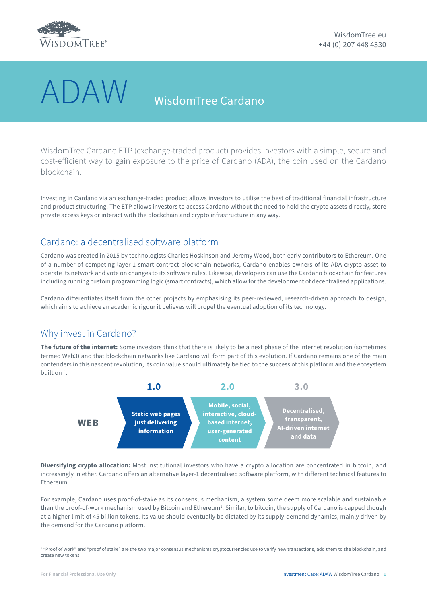

# ADAW WisdomTree Cardano

WisdomTree Cardano ETP (exchange-traded product) provides investors with a simple, secure and cost-efficient way to gain exposure to the price of Cardano (ADA), the coin used on the Cardano blockchain.

Investing in Cardano via an exchange-traded product allows investors to utilise the best of traditional financial infrastructure and product structuring. The ETP allows investors to access Cardano without the need to hold the crypto assets directly, store private access keys or interact with the blockchain and crypto infrastructure in any way.

## Cardano: a decentralised software platform

Cardano was created in 2015 by technologists Charles Hoskinson and Jeremy Wood, both early contributors to Ethereum. One of a number of competing layer-1 smart contract blockchain networks, Cardano enables owners of its ADA crypto asset to operate its network and vote on changes to its software rules. Likewise, developers can use the Cardano blockchain for features including running custom programming logic (smart contracts), which allow for the development of decentralised applications.

Cardano differentiates itself from the other projects by emphasising its peer-reviewed, research-driven approach to design, which aims to achieve an academic rigour it believes will propel the eventual adoption of its technology.

## Why invest in Cardano?

**The future of the internet:** Some investors think that there is likely to be a next phase of the internet revolution (sometimes termed Web3) and that blockchain networks like Cardano will form part of this evolution. If Cardano remains one of the main contenders in this nascent revolution, its coin value should ultimately be tied to the success of this platform and the ecosystem built on it.



**Diversifying crypto allocation:** Most institutional investors who have a crypto allocation are concentrated in bitcoin, and increasingly in ether. Cardano offers an alternative layer-1 decentralised software platform, with different technical features to Ethereum.

For example, Cardano uses proof-of-stake as its consensus mechanism, a system some deem more scalable and sustainable than the proof-of-work mechanism used by Bitcoin and Ethereum<sup>1</sup>. Similar, to bitcoin, the supply of Cardano is capped though at a higher limit of 45 billion tokens. Its value should eventually be dictated by its supply-demand dynamics, mainly driven by the demand for the Cardano platform.

1 "Proof of work" and "proof of stake" are the two major consensus mechanisms cryptocurrencies use to verify new transactions, add them to the blockchain, and create new tokens.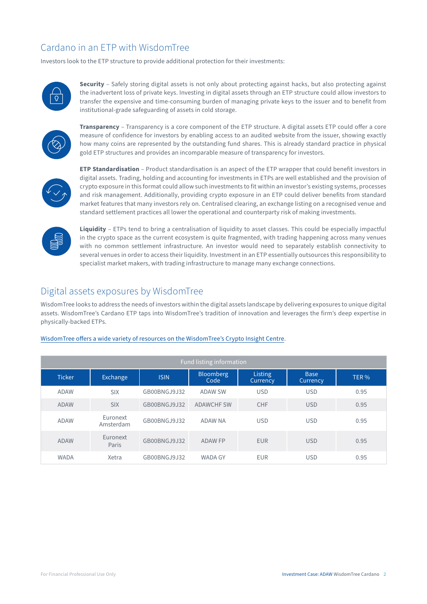## Cardano in an ETP with WisdomTree

Investors look to the ETP structure to provide additional protection for their investments:



**Security** – Safely storing digital assets is not only about protecting against hacks, but also protecting against the inadvertent loss of private keys. Investing in digital assets through an ETP structure could allow investors to transfer the expensive and time-consuming burden of managing private keys to the issuer and to benefit from institutional-grade safeguarding of assets in cold storage.



**Transparency** – Transparency is a core component of the ETP structure. A digital assets ETP could offer a core measure of confidence for investors by enabling access to an audited website from the issuer, showing exactly how many coins are represented by the outstanding fund shares. This is already standard practice in physical gold ETP structures and provides an incomparable measure of transparency for investors.



**ETP Standardisation** – Product standardisation is an aspect of the ETP wrapper that could benefit investors in digital assets. Trading, holding and accounting for investments in ETPs are well established and the provision of crypto exposure in this format could allow such investments to fit within an investor's existing systems, processes and risk management. Additionally, providing crypto exposure in an ETP could deliver benefits from standard market features that many investors rely on. Centralised clearing, an exchange listing on a recognised venue and standard settlement practices all lower the operational and counterparty risk of making investments.



**Liquidity** – ETPs tend to bring a centralisation of liquidity to asset classes. This could be especially impactful in the crypto space as the current ecosystem is quite fragmented, with trading happening across many venues with no common settlement infrastructure. An investor would need to separately establish connectivity to several venues in order to access their liquidity. Investment in an ETP essentially outsources this responsibility to specialist market makers, with trading infrastructure to manage many exchange connections.

## Digital assets exposures by WisdomTree

WisdomTree looks to address the needs of investors within the digital assets landscape by delivering exposures to unique digital assets. WisdomTree's Cardano ETP taps into WisdomTree's tradition of innovation and leverages the firm's deep expertise in physically-backed ETPs.

### [WisdomTree offers a wide variety of resources on the WisdomTree's Crypto Insight Centre](https://www.wisdomtree.eu/en-gb/strategies/crypto-currency).

| Fund listing information |                       |              |                          |                     |                         |                  |
|--------------------------|-----------------------|--------------|--------------------------|---------------------|-------------------------|------------------|
| <b>Ticker</b>            | Exchange              | <b>ISIN</b>  | <b>Bloomberg</b><br>Code | Listing<br>Currency | <b>Base</b><br>Currency | TER <sub>%</sub> |
| <b>ADAW</b>              | <b>SIX</b>            | GB00BNGJ9J32 | <b>ADAW SW</b>           | <b>USD</b>          | <b>USD</b>              | 0.95             |
| <b>ADAW</b>              | <b>SIX</b>            | GB00BNGJ9J32 | <b>ADAWCHF SW</b>        | <b>CHF</b>          | <b>USD</b>              | 0.95             |
| ADAW                     | Euronext<br>Amsterdam | GB00BNGJ9J32 | <b>ADAW NA</b>           | <b>USD</b>          | <b>USD</b>              | 0.95             |
| <b>ADAW</b>              | Euronext<br>Paris     | GB00BNGJ9J32 | <b>ADAW FP</b>           | <b>EUR</b>          | <b>USD</b>              | 0.95             |
| <b>WADA</b>              | Xetra                 | GB00BNGJ9J32 | <b>WADA GY</b>           | <b>EUR</b>          | <b>USD</b>              | 0.95             |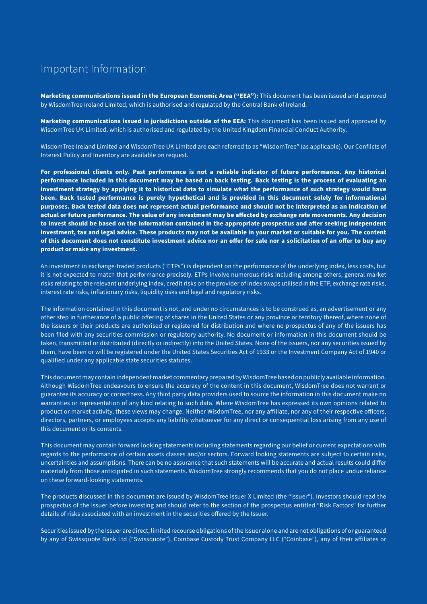## Important Information

**Marketing communications issued in the European Economic Area ("EEA"):** This document has been issued and approved by WisdomTree Ireland Limited, which is authorised and regulated by the Central Bank of Ireland.

**Marketing communications issued in jurisdictions outside of the EEA:** This document has been issued and approved by WisdomTree UK Limited, which is authorised and regulated by the United Kingdom Financial Conduct Authority.

WisdomTree Ireland Limited and WisdomTree UK Limited are each referred to as "WisdomTree" (as applicable). Our Conflicts of Interest Policy and Inventory are available on request.

**For professional clients only. Past performance is not a reliable indicator of future performance. Any historical performance included in this document may be based on back testing. Back testing is the process of evaluating an investment strategy by applying it to historical data to simulate what the performance of such strategy would have been. Back tested performance is purely hypothetical and is provided in this document solely for informational purposes. Back tested data does not represent actual performance and should not be interpreted as an indication of actual or future performance. The value of any investment may be affected by exchange rate movements. Any decision to invest should be based on the information contained in the appropriate prospectus and after seeking independent investment, tax and legal advice. These products may not be available in your market or suitable for you. The content of this document does not constitute investment advice nor an offer for sale nor a solicitation of an offer to buy any product or make any investment.** 

An investment in exchange-traded products ("ETPs") is dependent on the performance of the underlying index, less costs, but it is not expected to match that performance precisely. ETPs involve numerous risks including among others, general market risks relating to the relevant underlying index, credit risks on the provider of index swaps utilised in the ETP, exchange rate risks, interest rate risks, inflationary risks, liquidity risks and legal and regulatory risks.

The information contained in this document is not, and under no circumstances is to be construed as, an advertisement or any other step in furtherance of a public offering of shares in the United States or any province or territory thereof, where none of the issuers or their products are authorised or registered for distribution and where no prospectus of any of the issuers has been filed with any securities commission or regulatory authority. No document or information in this document should be taken, transmitted or distributed (directly or indirectly) into the United States. None of the issuers, nor any securities issued by them, have been or will be registered under the United States Securities Act of 1933 or the Investment Company Act of 1940 or qualified under any applicable state securities statutes.

This document may contain independent market commentary prepared by WisdomTree based on publicly available information. Although WisdomTree endeavours to ensure the accuracy of the content in this document, WisdomTree does not warrant or guarantee its accuracy or correctness. Any third party data providers used to source the information in this document make no warranties or representation of any kind relating to such data. Where WisdomTree has expressed its own opinions related to product or market activity, these views may change. Neither WisdomTree, nor any affiliate, nor any of their respective officers, directors, partners, or employees accepts any liability whatsoever for any direct or consequential loss arising from any use of this document or its contents.

This document may contain forward looking statements including statements regarding our belief or current expectations with regards to the performance of certain assets classes and/or sectors. Forward looking statements are subject to certain risks, uncertainties and assumptions. There can be no assurance that such statements will be accurate and actual results could differ materially from those anticipated in such statements. WisdomTree strongly recommends that you do not place undue reliance on these forward-looking statements.

The products discussed in this document are issued by WisdomTree Issuer X Limited (the "Issuer"). Investors should read the prospectus of the Issuer before investing and should refer to the section of the prospectus entitled "Risk Factors" for further details of risks associated with an investment in the securities offered by the Issuer.

Securities issued by the Issuer are direct, limited recourse obligations of the Issuer alone and are not obligations of or guaranteed by any of Swissquote Bank Ltd ("Swissquote"), Coinbase Custody Trust Company LLC ("Coinbase"), any of their affiliates or